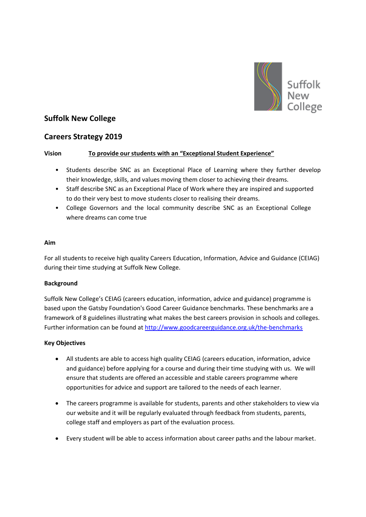

# **Suffolk New College**

## **Careers Strategy 2019**

## **Vision To provide our students with an "Exceptional Student Experience"**

- Students describe SNC as an Exceptional Place of Learning where they further develop their knowledge, skills, and values moving them closer to achieving their dreams.
- Staff describe SNC as an Exceptional Place of Work where they are inspired and supported to do their very best to move students closer to realising their dreams.
- College Governors and the local community describe SNC as an Exceptional College where dreams can come true

#### **Aim**

For all students to receive high quality Careers Education, Information, Advice and Guidance (CEIAG) during their time studying at Suffolk New College.

## **Background**

Suffolk New College's CEIAG (careers education, information, advice and guidance) programme is based upon the Gatsby Foundation's Good Career Guidance benchmarks. These benchmarks are a framework of 8 guidelines illustrating what makes the best careers provision in schools and colleges. Further information can be found at<http://www.goodcareerguidance.org.uk/the-benchmarks>

## **Key Objectives**

- All students are able to access high quality CEIAG (careers education, information, advice and guidance) before applying for a course and during their time studying with us. We will ensure that students are offered an accessible and stable careers programme where opportunities for advice and support are tailored to the needs of each learner.
- The careers programme is available for students, parents and other stakeholders to view via our website and it will be regularly evaluated through feedback from students, parents, college staff and employers as part of the evaluation process.
- Every student will be able to access information about career paths and the labour market.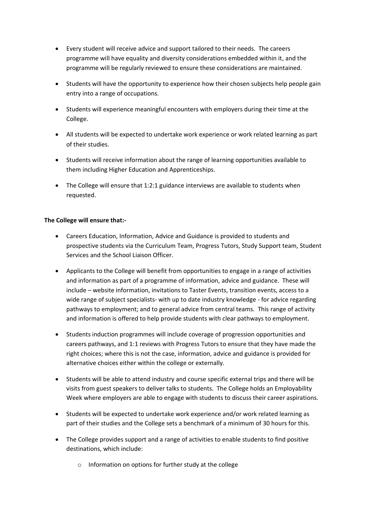- Every student will receive advice and support tailored to their needs. The careers programme will have equality and diversity considerations embedded within it, and the programme will be regularly reviewed to ensure these considerations are maintained.
- Students will have the opportunity to experience how their chosen subjects help people gain entry into a range of occupations.
- Students will experience meaningful encounters with employers during their time at the College.
- All students will be expected to undertake work experience or work related learning as part of their studies.
- Students will receive information about the range of learning opportunities available to them including Higher Education and Apprenticeships.
- The College will ensure that 1:2:1 guidance interviews are available to students when requested.

## **The College will ensure that:-**

- Careers Education, Information, Advice and Guidance is provided to students and prospective students via the Curriculum Team, Progress Tutors, Study Support team, Student Services and the School Liaison Officer.
- Applicants to the College will benefit from opportunities to engage in a range of activities and information as part of a programme of information, advice and guidance. These will include – website information, invitations to Taster Events, transition events, access to a wide range of subject specialists- with up to date industry knowledge - for advice regarding pathways to employment; and to general advice from central teams. This range of activity and information is offered to help provide students with clear pathways to employment.
- Students induction programmes will include coverage of progression opportunities and careers pathways, and 1:1 reviews with Progress Tutors to ensure that they have made the right choices; where this is not the case, information, advice and guidance is provided for alternative choices either within the college or externally.
- Students will be able to attend industry and course specific external trips and there will be visits from guest speakers to deliver talks to students. The College holds an Employability Week where employers are able to engage with students to discuss their career aspirations.
- Students will be expected to undertake work experience and/or work related learning as part of their studies and the College sets a benchmark of a minimum of 30 hours for this.
- The College provides support and a range of activities to enable students to find positive destinations, which include:
	- o Information on options for further study at the college